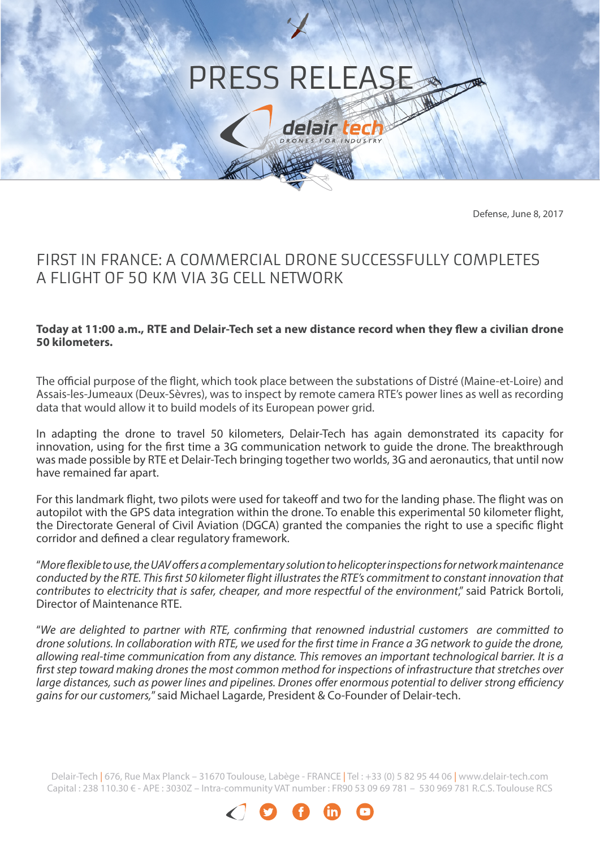# PRESS RELEASE

delair ted **ES FOR INDUSTRY** 

Defense, June 8, 2017

## FIRST IN FRANCE: A COMMERCIAL DRONE SUCCESSFULLY COMPLETES A FLIGHT OF 50 KM VIA 3G CELL NETWORK

#### **Today at 11:00 a.m., RTE and Delair-Tech set a new distance record when they flew a civilian drone 50 kilometers.**

The official purpose of the flight, which took place between the substations of Distré (Maine-et-Loire) and Assais-les-Jumeaux (Deux-Sèvres), was to inspect by remote camera RTE's power lines as well as recording data that would allow it to build models of its European power grid.

In adapting the drone to travel 50 kilometers, Delair-Tech has again demonstrated its capacity for innovation, using for the first time a 3G communication network to guide the drone. The breakthrough was made possible by RTE et Delair-Tech bringing together two worlds, 3G and aeronautics, that until now have remained far apart.

For this landmark flight, two pilots were used for takeoff and two for the landing phase. The flight was on autopilot with the GPS data integration within the drone. To enable this experimental 50 kilometer flight, the Directorate General of Civil Aviation (DGCA) granted the companies the right to use a specific flight corridor and defined a clear regulatory framework.

"*More flexible to use, the UAV offers a complementary solution to helicopter inspections for network maintenance conducted by the RTE. This first 50 kilometer flight illustrates the RTE's commitment to constant innovation that contributes to electricity that is safer, cheaper, and more respectful of the environment*," said Patrick Bortoli, Director of Maintenance RTE.

"*We are delighted to partner with RTE, confirming that renowned industrial customers are committed to drone solutions. In collaboration with RTE, we used for the first time in France a 3G network to guide the drone, allowing real-time communication from any distance. This removes an important technological barrier. It is a first step toward making drones the most common method for inspections of infrastructure that stretches over large distances, such as power lines and pipelines. Drones offer enormous potential to deliver strong efficiency gains for our customers,*" said Michael Lagarde, President & Co-Founder of Delair-tech.

Delair-Tech | 676, Rue Max Planck – 31670 Toulouse, Labège - FRANCE | Tel: +33 (0) 5 82 95 44 06 | www.delair-tech.com Capital : 238 110.30 € - APE : 3030Z – Intra-community VAT number : FR90 53 09 69 781 – 530 969 781 R.C.S. Toulouse RCS